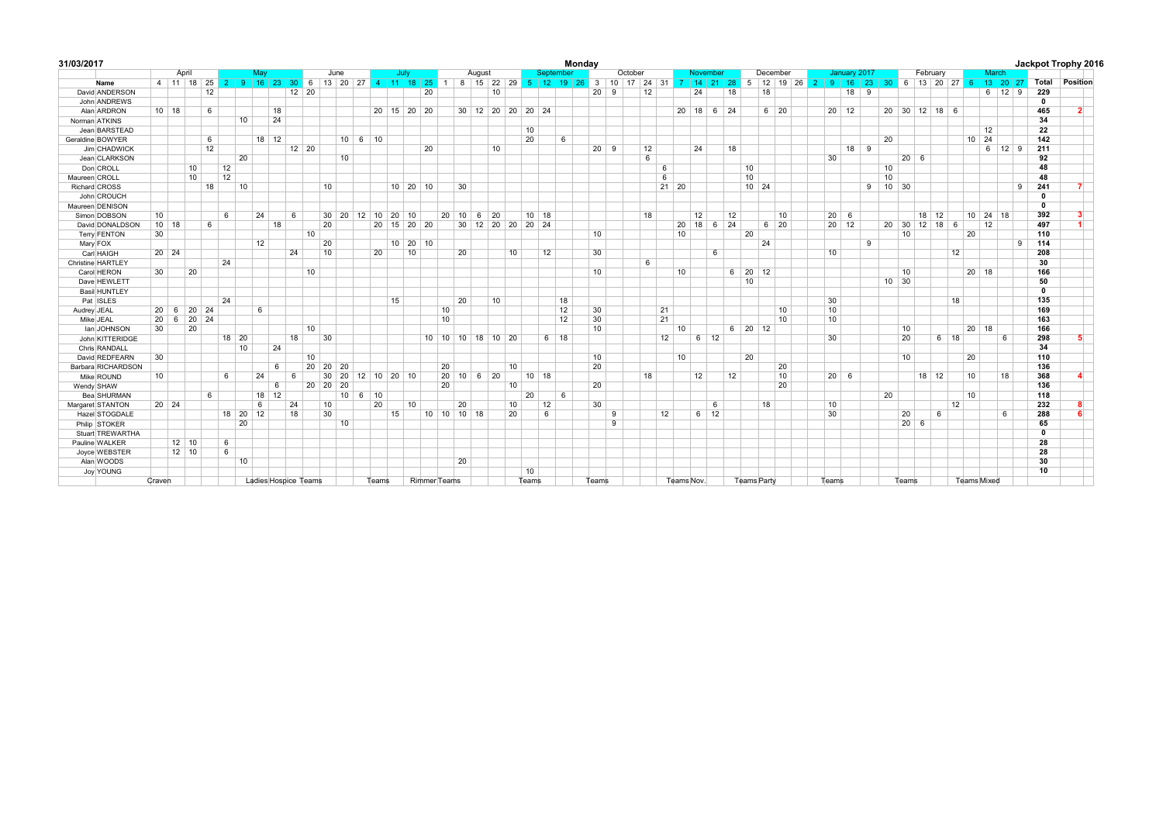|    |                                                          |                                                                     |                                                                     |                                  |                                       |                                             |                                |                                                             |                                                              |    |                                            |                                       |                                                                  |                      |                            |                       |                                            |                                                 |                                                                         |                                |              |                            |         |                                |       |                            |                                                  |                                                                                                                                        |                                      |                                                                            |                                                                                |                                                                             |    |                           |                          |                                     |                                                                                             |                                                              |                                                                       | Jackpot Trophy 2016                   |
|----|----------------------------------------------------------|---------------------------------------------------------------------|---------------------------------------------------------------------|----------------------------------|---------------------------------------|---------------------------------------------|--------------------------------|-------------------------------------------------------------|--------------------------------------------------------------|----|--------------------------------------------|---------------------------------------|------------------------------------------------------------------|----------------------|----------------------------|-----------------------|--------------------------------------------|-------------------------------------------------|-------------------------------------------------------------------------|--------------------------------|--------------|----------------------------|---------|--------------------------------|-------|----------------------------|--------------------------------------------------|----------------------------------------------------------------------------------------------------------------------------------------|--------------------------------------|----------------------------------------------------------------------------|--------------------------------------------------------------------------------|-----------------------------------------------------------------------------|----|---------------------------|--------------------------|-------------------------------------|---------------------------------------------------------------------------------------------|--------------------------------------------------------------|-----------------------------------------------------------------------|---------------------------------------|
|    |                                                          |                                                                     |                                                                     |                                  |                                       |                                             |                                |                                                             |                                                              |    |                                            |                                       |                                                                  |                      |                            |                       |                                            |                                                 |                                                                         |                                |              |                            |         |                                |       |                            |                                                  |                                                                                                                                        |                                      |                                                                            |                                                                                |                                                                             |    |                           |                          |                                     |                                                                                             |                                                              |                                                                       |                                       |
|    |                                                          |                                                                     |                                                                     |                                  |                                       |                                             |                                |                                                             |                                                              |    |                                            |                                       |                                                                  |                      |                            |                       |                                            |                                                 |                                                                         |                                |              |                            |         |                                |       |                            |                                                  |                                                                                                                                        |                                      |                                                                            |                                                                                |                                                                             |    |                           |                          |                                     |                                                                                             |                                                              |                                                                       | Position                              |
|    |                                                          |                                                                     |                                                                     |                                  |                                       |                                             |                                |                                                             |                                                              |    |                                            |                                       |                                                                  |                      |                            |                       |                                            |                                                 |                                                                         |                                |              |                            |         |                                |       |                            |                                                  | 18                                                                                                                                     |                                      |                                                                            |                                                                                |                                                                             |    |                           |                          |                                     |                                                                                             |                                                              |                                                                       |                                       |
|    |                                                          |                                                                     |                                                                     |                                  |                                       |                                             |                                |                                                             |                                                              |    |                                            |                                       |                                                                  |                      |                            |                       |                                            |                                                 |                                                                         |                                |              |                            |         |                                |       |                            |                                                  |                                                                                                                                        |                                      |                                                                            |                                                                                |                                                                             |    |                           |                          |                                     |                                                                                             |                                                              | $\mathbf 0$                                                           |                                       |
|    |                                                          |                                                                     |                                                                     |                                  |                                       |                                             |                                |                                                             |                                                              |    |                                            |                                       |                                                                  |                      |                            |                       |                                            |                                                 |                                                                         |                                |              |                            |         |                                |       |                            |                                                  |                                                                                                                                        |                                      |                                                                            |                                                                                |                                                                             |    |                           |                          |                                     |                                                                                             |                                                              |                                                                       | $\mathbf{2}$                          |
|    |                                                          |                                                                     | 10                                                                  |                                  |                                       |                                             |                                |                                                             |                                                              |    |                                            |                                       |                                                                  |                      |                            |                       |                                            |                                                 |                                                                         |                                |              |                            |         |                                |       |                            |                                                  |                                                                                                                                        |                                      |                                                                            |                                                                                |                                                                             |    |                           |                          |                                     |                                                                                             |                                                              | 34                                                                    |                                       |
|    |                                                          |                                                                     |                                                                     |                                  |                                       |                                             |                                |                                                             |                                                              |    |                                            |                                       |                                                                  |                      |                            |                       | 10                                         |                                                 |                                                                         |                                |              |                            |         |                                |       |                            |                                                  |                                                                                                                                        |                                      |                                                                            |                                                                                |                                                                             |    |                           |                          |                                     | 12                                                                                          |                                                              |                                                                       |                                       |
|    |                                                          |                                                                     |                                                                     |                                  |                                       |                                             |                                |                                                             |                                                              |    |                                            |                                       |                                                                  |                      |                            |                       | 20                                         |                                                 | 6                                                                       |                                |              |                            |         |                                |       |                            |                                                  |                                                                                                                                        |                                      |                                                                            |                                                                                | 20                                                                          |    |                           |                          |                                     |                                                                                             |                                                              | 142                                                                   |                                       |
|    |                                                          |                                                                     |                                                                     |                                  |                                       |                                             |                                |                                                             |                                                              |    |                                            |                                       |                                                                  |                      |                            |                       |                                            |                                                 |                                                                         |                                |              |                            |         |                                |       |                            |                                                  |                                                                                                                                        |                                      |                                                                            |                                                                                |                                                                             |    |                           |                          |                                     |                                                                                             |                                                              | 211                                                                   |                                       |
|    |                                                          |                                                                     | 20                                                                  |                                  |                                       |                                             |                                | 10                                                          |                                                              |    |                                            |                                       |                                                                  |                      |                            |                       |                                            |                                                 |                                                                         |                                |              |                            |         |                                |       |                            |                                                  |                                                                                                                                        |                                      |                                                                            |                                                                                |                                                                             |    |                           |                          |                                     |                                                                                             |                                                              | 92                                                                    |                                       |
|    |                                                          | 12                                                                  |                                                                     |                                  |                                       |                                             |                                |                                                             |                                                              |    |                                            |                                       |                                                                  |                      |                            |                       |                                            |                                                 |                                                                         |                                |              |                            | 6       |                                |       |                            | 10                                               |                                                                                                                                        |                                      |                                                                            |                                                                                | 10                                                                          |    |                           |                          |                                     |                                                                                             |                                                              | 48                                                                    |                                       |
|    |                                                          | 12                                                                  |                                                                     |                                  |                                       |                                             |                                |                                                             |                                                              |    |                                            |                                       |                                                                  |                      |                            |                       |                                            |                                                 |                                                                         |                                |              |                            | 6       |                                |       |                            | 10                                               |                                                                                                                                        |                                      |                                                                            |                                                                                | 10                                                                          |    |                           |                          |                                     |                                                                                             |                                                              | 48                                                                    |                                       |
|    |                                                          |                                                                     | 10                                                                  |                                  |                                       |                                             | 10                             |                                                             |                                                              |    |                                            |                                       |                                                                  |                      |                            |                       |                                            |                                                 |                                                                         |                                |              |                            |         |                                |       |                            |                                                  |                                                                                                                                        |                                      |                                                                            |                                                                                |                                                                             |    |                           |                          |                                     |                                                                                             | 9                                                            | 241                                                                   |                                       |
|    |                                                          |                                                                     |                                                                     |                                  |                                       |                                             |                                |                                                             |                                                              |    |                                            |                                       |                                                                  |                      |                            |                       |                                            |                                                 |                                                                         |                                |              |                            |         |                                |       |                            |                                                  |                                                                                                                                        |                                      |                                                                            |                                                                                |                                                                             |    |                           |                          |                                     |                                                                                             |                                                              | $\mathbf{0}$                                                          |                                       |
|    |                                                          |                                                                     |                                                                     |                                  |                                       |                                             |                                |                                                             |                                                              |    |                                            |                                       |                                                                  |                      |                            |                       |                                            |                                                 |                                                                         |                                |              |                            |         |                                |       |                            |                                                  |                                                                                                                                        |                                      |                                                                            |                                                                                |                                                                             |    |                           |                          |                                     |                                                                                             |                                                              | $\mathbf{0}$                                                          |                                       |
| 10 |                                                          | 6                                                                   |                                                                     |                                  |                                       |                                             |                                |                                                             |                                                              |    | 10                                         |                                       |                                                                  |                      |                            |                       |                                            |                                                 |                                                                         |                                |              |                            |         |                                |       |                            |                                                  |                                                                                                                                        |                                      |                                                                            |                                                                                |                                                                             |    |                           |                          |                                     |                                                                                             |                                                              | 392                                                                   |                                       |
|    |                                                          |                                                                     |                                                                     |                                  |                                       |                                             | 20                             |                                                             |                                                              |    |                                            |                                       |                                                                  |                      |                            |                       |                                            |                                                 |                                                                         |                                |              |                            |         | 20                             |       |                            |                                                  |                                                                                                                                        |                                      |                                                                            |                                                                                |                                                                             |    |                           |                          |                                     | 12                                                                                          |                                                              | 497                                                                   |                                       |
| 30 |                                                          |                                                                     |                                                                     |                                  |                                       |                                             |                                |                                                             |                                                              |    |                                            |                                       |                                                                  |                      |                            |                       |                                            |                                                 |                                                                         | 10                             |              |                            |         | 10                             |       |                            | 20                                               |                                                                                                                                        |                                      |                                                                            |                                                                                |                                                                             | 10 |                           |                          | 20                                  |                                                                                             |                                                              | 110                                                                   |                                       |
|    |                                                          |                                                                     |                                                                     |                                  |                                       |                                             | 20                             |                                                             |                                                              |    |                                            |                                       |                                                                  |                      |                            |                       |                                            |                                                 |                                                                         |                                |              |                            |         |                                |       |                            |                                                  | 24                                                                                                                                     |                                      |                                                                            | 9                                                                              |                                                                             |    |                           |                          |                                     |                                                                                             | 9                                                            | 114                                                                   |                                       |
|    |                                                          |                                                                     |                                                                     |                                  |                                       |                                             | 10                             |                                                             |                                                              |    | 10                                         |                                       |                                                                  |                      |                            |                       |                                            | 12                                              |                                                                         | 30                             |              |                            |         |                                |       |                            |                                                  |                                                                                                                                        |                                      |                                                                            |                                                                                |                                                                             |    |                           |                          |                                     |                                                                                             |                                                              | 208                                                                   |                                       |
|    |                                                          | 24                                                                  |                                                                     |                                  |                                       |                                             |                                |                                                             |                                                              |    |                                            |                                       |                                                                  |                      |                            |                       |                                            |                                                 |                                                                         |                                |              |                            |         |                                |       |                            |                                                  |                                                                                                                                        |                                      |                                                                            |                                                                                |                                                                             |    |                           |                          |                                     |                                                                                             |                                                              | 30                                                                    |                                       |
| 30 |                                                          |                                                                     |                                                                     |                                  |                                       |                                             |                                |                                                             |                                                              |    |                                            |                                       |                                                                  |                      |                            |                       |                                            |                                                 |                                                                         | 10                             |              |                            |         | 10                             |       |                            |                                                  |                                                                                                                                        |                                      |                                                                            |                                                                                |                                                                             | 10 |                           |                          |                                     |                                                                                             |                                                              | 166                                                                   |                                       |
|    |                                                          |                                                                     |                                                                     |                                  |                                       |                                             |                                |                                                             |                                                              |    |                                            |                                       |                                                                  |                      |                            |                       |                                            |                                                 |                                                                         |                                |              |                            |         |                                |       |                            | 10                                               |                                                                                                                                        |                                      |                                                                            |                                                                                |                                                                             |    |                           |                          |                                     |                                                                                             |                                                              | 50                                                                    |                                       |
|    |                                                          |                                                                     |                                                                     |                                  |                                       |                                             |                                |                                                             |                                                              |    |                                            |                                       |                                                                  |                      |                            |                       |                                            |                                                 |                                                                         |                                |              |                            |         |                                |       |                            |                                                  |                                                                                                                                        |                                      |                                                                            |                                                                                |                                                                             |    |                           |                          |                                     |                                                                                             |                                                              | $\mathbf 0$                                                           |                                       |
|    |                                                          | 24                                                                  |                                                                     |                                  |                                       |                                             |                                |                                                             |                                                              | 15 |                                            |                                       |                                                                  |                      |                            |                       |                                            |                                                 | 18                                                                      |                                |              |                            |         |                                |       |                            |                                                  |                                                                                                                                        |                                      |                                                                            |                                                                                |                                                                             |    |                           |                          |                                     |                                                                                             |                                                              | 135                                                                   |                                       |
|    |                                                          |                                                                     |                                                                     |                                  |                                       |                                             |                                |                                                             |                                                              |    |                                            |                                       |                                                                  |                      |                            |                       |                                            |                                                 |                                                                         | 30                             |              |                            | 21      |                                |       |                            |                                                  |                                                                                                                                        |                                      |                                                                            |                                                                                |                                                                             |    |                           |                          |                                     |                                                                                             |                                                              | 169                                                                   |                                       |
|    |                                                          |                                                                     |                                                                     |                                  |                                       |                                             |                                |                                                             |                                                              |    |                                            |                                       |                                                                  |                      |                            |                       |                                            |                                                 | 12                                                                      | 30                             |              |                            | 21      |                                |       |                            |                                                  |                                                                                                                                        |                                      |                                                                            |                                                                                |                                                                             |    |                           |                          |                                     |                                                                                             |                                                              | 163                                                                   |                                       |
| 30 |                                                          |                                                                     |                                                                     |                                  |                                       |                                             |                                |                                                             |                                                              |    |                                            |                                       |                                                                  |                      |                            |                       |                                            |                                                 |                                                                         | 10                             |              |                            |         | 10                             |       |                            |                                                  |                                                                                                                                        |                                      |                                                                            |                                                                                |                                                                             | 10 |                           |                          |                                     |                                                                                             |                                                              | 166                                                                   |                                       |
|    |                                                          |                                                                     |                                                                     |                                  |                                       |                                             | 30                             |                                                             |                                                              |    |                                            |                                       |                                                                  |                      |                            |                       |                                            |                                                 |                                                                         |                                |              |                            | 12      |                                |       |                            |                                                  |                                                                                                                                        |                                      |                                                                            |                                                                                |                                                                             | 20 |                           |                          |                                     |                                                                                             |                                                              | 298                                                                   |                                       |
|    |                                                          |                                                                     | 10                                                                  |                                  |                                       |                                             |                                |                                                             |                                                              |    |                                            |                                       |                                                                  |                      |                            |                       |                                            |                                                 |                                                                         |                                |              |                            |         |                                |       |                            |                                                  |                                                                                                                                        |                                      |                                                                            |                                                                                |                                                                             |    |                           |                          |                                     |                                                                                             |                                                              | 34                                                                    |                                       |
| 30 |                                                          |                                                                     |                                                                     |                                  |                                       |                                             |                                |                                                             |                                                              |    |                                            |                                       |                                                                  |                      |                            |                       |                                            |                                                 |                                                                         | 10                             |              |                            |         | 10                             |       |                            | 20                                               |                                                                                                                                        |                                      |                                                                            |                                                                                |                                                                             | 10 |                           |                          | 20                                  |                                                                                             |                                                              | 110                                                                   |                                       |
|    |                                                          |                                                                     |                                                                     | 6                                |                                       |                                             |                                | 20                                                          |                                                              |    |                                            |                                       |                                                                  |                      |                            |                       |                                            |                                                 |                                                                         | 20                             |              |                            |         |                                |       |                            |                                                  |                                                                                                                                        |                                      |                                                                            |                                                                                |                                                                             |    |                           |                          |                                     |                                                                                             |                                                              | 136                                                                   |                                       |
| 10 |                                                          | 6                                                                   |                                                                     |                                  |                                       |                                             |                                |                                                             |                                                              |    |                                            |                                       |                                                                  |                      |                            |                       |                                            |                                                 |                                                                         |                                |              |                            |         |                                |       |                            |                                                  |                                                                                                                                        |                                      |                                                                            |                                                                                |                                                                             |    |                           |                          |                                     |                                                                                             |                                                              | 368                                                                   |                                       |
|    |                                                          |                                                                     |                                                                     |                                  |                                       |                                             |                                | 20                                                          |                                                              |    |                                            |                                       |                                                                  |                      |                            |                       |                                            |                                                 |                                                                         | 20                             |              |                            |         |                                |       |                            |                                                  |                                                                                                                                        |                                      |                                                                            |                                                                                |                                                                             |    |                           |                          |                                     |                                                                                             |                                                              | 136                                                                   |                                       |
|    |                                                          |                                                                     |                                                                     |                                  |                                       |                                             |                                |                                                             |                                                              |    |                                            |                                       |                                                                  |                      |                            |                       | 20                                         |                                                 | 6                                                                       |                                |              |                            |         |                                |       |                            |                                                  |                                                                                                                                        |                                      |                                                                            |                                                                                | 20                                                                          |    |                           |                          | 10                                  |                                                                                             |                                                              | 118                                                                   |                                       |
|    |                                                          |                                                                     |                                                                     |                                  |                                       |                                             |                                |                                                             |                                                              |    | 10                                         |                                       |                                                                  |                      |                            |                       |                                            |                                                 |                                                                         |                                |              |                            |         |                                |       |                            |                                                  | 18                                                                                                                                     |                                      |                                                                            |                                                                                |                                                                             |    |                           |                          |                                     |                                                                                             |                                                              | 232                                                                   |                                       |
|    |                                                          |                                                                     |                                                                     |                                  |                                       |                                             | 30                             |                                                             |                                                              | 15 |                                            |                                       |                                                                  |                      |                            |                       |                                            | 6                                               |                                                                         |                                | 9            |                            | 12      |                                |       |                            |                                                  |                                                                                                                                        |                                      |                                                                            |                                                                                |                                                                             | 20 |                           |                          |                                     |                                                                                             |                                                              | 288                                                                   | <b>G</b>                              |
|    |                                                          |                                                                     | 20                                                                  |                                  |                                       |                                             |                                |                                                             |                                                              |    |                                            |                                       |                                                                  |                      |                            |                       |                                            |                                                 |                                                                         |                                | 9            |                            |         |                                |       |                            |                                                  |                                                                                                                                        |                                      |                                                                            |                                                                                |                                                                             |    |                           |                          |                                     |                                                                                             |                                                              | 65                                                                    |                                       |
|    |                                                          |                                                                     |                                                                     |                                  |                                       |                                             |                                |                                                             |                                                              |    |                                            |                                       |                                                                  |                      |                            |                       |                                            |                                                 |                                                                         |                                |              |                            |         |                                |       |                            |                                                  |                                                                                                                                        |                                      |                                                                            |                                                                                |                                                                             |    |                           |                          |                                     |                                                                                             |                                                              | $\mathbf 0$                                                           |                                       |
|    |                                                          |                                                                     |                                                                     |                                  |                                       |                                             |                                |                                                             |                                                              |    |                                            |                                       |                                                                  |                      |                            |                       |                                            |                                                 |                                                                         |                                |              |                            |         |                                |       |                            |                                                  |                                                                                                                                        |                                      |                                                                            |                                                                                |                                                                             |    |                           |                          |                                     |                                                                                             |                                                              | 28                                                                    |                                       |
|    |                                                          | 6                                                                   |                                                                     |                                  |                                       |                                             |                                |                                                             |                                                              |    |                                            |                                       |                                                                  |                      |                            |                       |                                            |                                                 |                                                                         |                                |              |                            |         |                                |       |                            |                                                  |                                                                                                                                        |                                      |                                                                            |                                                                                |                                                                             |    |                           |                          |                                     |                                                                                             |                                                              | 28                                                                    |                                       |
|    |                                                          |                                                                     | 10                                                                  |                                  |                                       |                                             |                                |                                                             |                                                              |    |                                            |                                       |                                                                  |                      |                            |                       |                                            |                                                 |                                                                         |                                |              |                            |         |                                |       |                            |                                                  |                                                                                                                                        |                                      |                                                                            |                                                                                |                                                                             |    |                           |                          |                                     |                                                                                             |                                                              | 30                                                                    |                                       |
|    |                                                          |                                                                     |                                                                     |                                  |                                       |                                             |                                |                                                             |                                                              |    |                                            |                                       |                                                                  |                      |                            |                       |                                            |                                                 |                                                                         |                                |              |                            |         |                                |       |                            |                                                  |                                                                                                                                        |                                      |                                                                            |                                                                                |                                                                             |    |                           |                          |                                     |                                                                                             |                                                              | 10                                                                    |                                       |
|    | $10$ 18<br>$10 \quad 18$<br>$20 \mid 24$<br>$20 \mid 24$ | April<br>10<br>10<br>20<br>20<br>$12 \mid 10$<br>$12 \overline{10}$ | 12<br>6<br>6<br>12<br>18<br>6<br>20 6 20 24<br>20 6 20 24<br>6<br>6 | 4 11 18 25 2<br>18 20<br>$18$ 20 | May<br>24<br>12<br>6<br>24<br>6<br>12 | 18<br>24<br>18 12<br>18<br>24<br>6<br>18 12 | 6<br>24<br>18<br>6<br>24<br>18 | $12$ 20<br>$12 \mid 20$<br>10<br>10<br>10<br>10<br>20<br>20 | June<br>$ 20\rangle$<br>20<br>30<br>$ 20\rangle$<br>10<br>10 |    | $10 \ 6 \ 10$<br>20<br>$10 \ 6 \ 10$<br>20 | July<br>30 20 12 10 20<br>12 10 20 10 | 20<br>20 15 20 20<br>20<br>$10$ 20 10<br>20 15 20 20<br>10 20 10 | 10<br>10<br>20<br>20 | 30<br>20<br>20<br>20<br>20 | August<br>10 10 10 18 | 10<br>10<br>20 10 6 20<br>10<br>20 10 6 20 | 10<br>10 10 10 18 10 20<br>10<br>10<br>10<br>20 | 30 12 20 20 20 24<br>$10 \mid 18$<br>30 12 20 20 20 24<br>$10$ 18<br>12 | September<br>12<br>$6 \mid 18$ | Monday<br>30 | $20 \mid 9$<br>$20 \mid 9$ | October | 12<br>12<br>6<br>18<br>6<br>18 | 21 20 | 24<br>24<br>12<br>18<br>12 | November<br>6<br>$6 \mid 12$<br>6<br>$6 \mid 12$ | 9 16 23 30 6 13 20 27 4 11 18 25 1 8 15 22 29 5 12 19 26 3 10 17 24 31 7 14 21 28<br>18<br>20 18 6 24<br>18<br>12<br>$6 \mid 24$<br>12 | $10 \mid 24$<br>6 20 12<br>$6$ 20 12 | December<br>$6 \mid 20$<br>10<br>$6 \mid 20$<br>10<br>10<br>20<br>10<br>20 | 5 12 19 26 2 9<br>30<br>$20 \quad 6$<br>10<br>30<br>10<br>10<br>30<br>10<br>30 | January 2017<br>$18$ 9<br>$20 \mid 12$<br>$18$ 9<br>$20$ 12<br>$20 \quad 6$ |    | $9$ 10 30<br>$10 \mid 30$ | $20 \quad 6$<br>$20 \ 6$ | February<br>$18$ 12<br>$18$ 12<br>6 | $20 \mid 30 \mid 12 \mid 18 \mid 6$<br>20 30 12 18 6<br>12<br>18<br>$6 \mid 18$<br>12<br>10 | 16 23 30 6 13 20 27 6<br>$10 \ 24$<br>20 18<br>$20$ 18<br>10 | March<br>$6 \quad 12 \quad 9$<br>$6$ 12 9<br>10 24 18<br>6<br>18<br>6 | 13 20 27<br>Total<br>229<br>465<br>22 |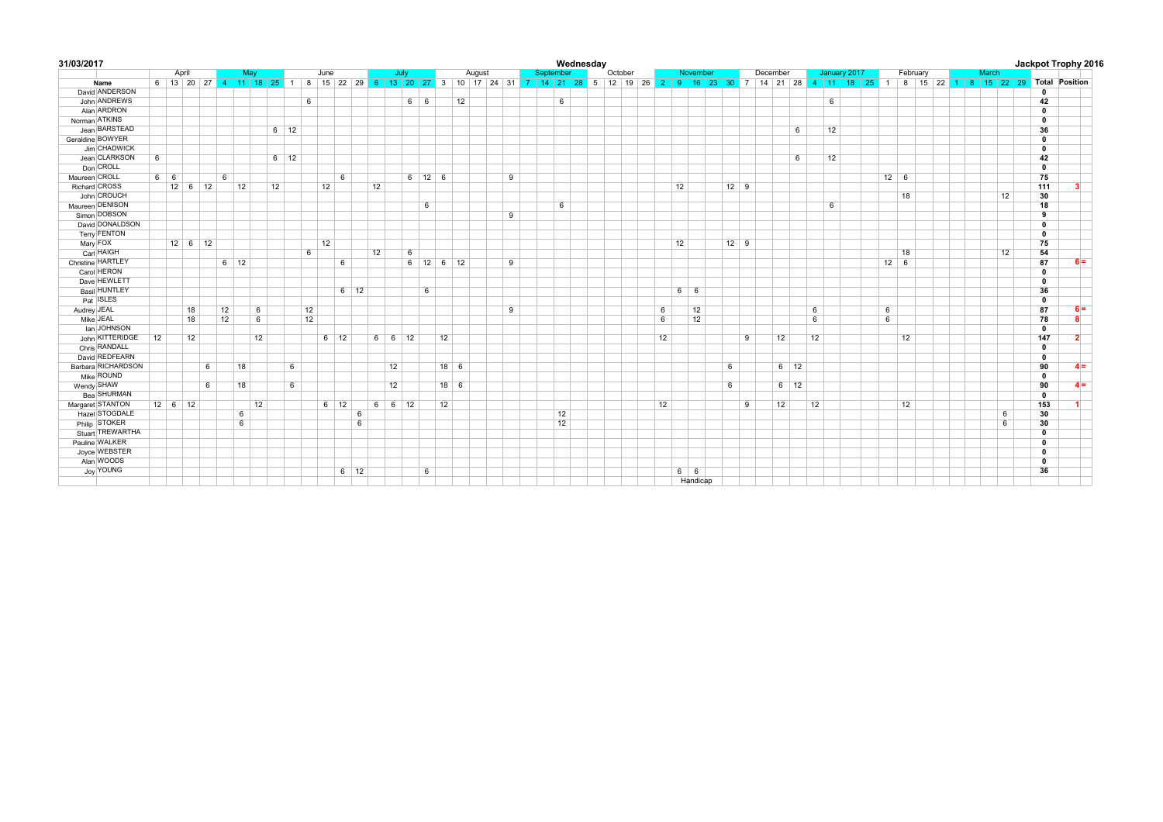| 31/03/2017          |            |                       |    |    |             |    |             |    |             |             |    |                |            |   |                            |        |   |           | Wednesday |         |                 |             |          |              |          |             |                                                                                                                                                            |                 |              |          |  |       |    |              | Jackpot Trophy 2016 |
|---------------------|------------|-----------------------|----|----|-------------|----|-------------|----|-------------|-------------|----|----------------|------------|---|----------------------------|--------|---|-----------|-----------|---------|-----------------|-------------|----------|--------------|----------|-------------|------------------------------------------------------------------------------------------------------------------------------------------------------------|-----------------|--------------|----------|--|-------|----|--------------|---------------------|
|                     |            | April                 |    |    | May         |    |             |    | June        |             |    | July           |            |   |                            | August |   | September |           | October |                 |             | November |              | December |             | January 2017                                                                                                                                               |                 |              | February |  | March |    |              |                     |
| Name                |            |                       |    |    |             |    |             |    |             |             |    |                |            |   |                            |        |   |           |           |         |                 |             |          |              |          |             | 6 13 20 27 4 11 18 25 1 8 15 22 29 6 13 20 27 3 10 17 24 31 7 14 21 28 5 12 19 26 2 9 16 23 30 7 14 21 28 4 11 18 25 1 8 15 22 1 8 15 22 29 Total Position |                 |              |          |  |       |    |              |                     |
| David ANDERSON      |            |                       |    |    |             |    |             |    |             |             |    |                |            |   |                            |        |   |           |           |         |                 |             |          |              |          |             |                                                                                                                                                            |                 |              |          |  |       |    | $\mathbf 0$  |                     |
| John ANDREWS        |            |                       |    |    |             |    |             | 6  |             |             |    |                | $6 \mid 6$ |   | 12                         |        |   | 6         |           |         |                 |             |          |              |          |             | 6                                                                                                                                                          |                 |              |          |  |       |    | 42           |                     |
| Alan ARDRON         |            |                       |    |    |             |    |             |    |             |             |    |                |            |   |                            |        |   |           |           |         |                 |             |          |              |          |             |                                                                                                                                                            |                 |              |          |  |       |    | $\mathbf 0$  |                     |
| Norman ATKINS       |            |                       |    |    |             |    |             |    |             |             |    |                |            |   |                            |        |   |           |           |         |                 |             |          |              |          |             |                                                                                                                                                            |                 |              |          |  |       |    | $\mathbf 0$  |                     |
| Jean BARSTEAD       |            |                       |    |    |             |    | $6 \mid 12$ |    |             |             |    |                |            |   |                            |        |   |           |           |         |                 |             |          |              |          | 6           | 12                                                                                                                                                         |                 |              |          |  |       |    | 36           |                     |
| Geraldine BOWYER    |            |                       |    |    |             |    |             |    |             |             |    |                |            |   |                            |        |   |           |           |         |                 |             |          |              |          |             |                                                                                                                                                            |                 |              |          |  |       |    | $\mathbf 0$  |                     |
| Jim CHADWICK        |            |                       |    |    |             |    |             |    |             |             |    |                |            |   |                            |        |   |           |           |         |                 |             |          |              |          |             |                                                                                                                                                            |                 |              |          |  |       |    | $\mathbf 0$  |                     |
| Jean CLARKSON       | 6          |                       |    |    |             |    | $6 \mid 12$ |    |             |             |    |                |            |   |                            |        |   |           |           |         |                 |             |          |              |          | 6           | 12                                                                                                                                                         |                 |              |          |  |       |    | 42           |                     |
| Don CROLL           |            |                       |    |    |             |    |             |    |             |             |    |                |            |   |                            |        |   |           |           |         |                 |             |          |              |          |             |                                                                                                                                                            |                 |              |          |  |       |    | $\mathbf 0$  |                     |
| Maureen CROLL       | $6 \mid 6$ |                       |    | 6  |             |    |             |    | 6           |             |    |                | $6$ 12 6   |   |                            |        | 9 |           |           |         |                 |             |          |              |          |             |                                                                                                                                                            |                 | $12 \quad 6$ |          |  |       |    | 75           |                     |
| Richard CROSS       |            | $12 \ 6 \ 12$         |    |    | 12          | 12 |             |    | 12          |             | 12 |                |            |   |                            |        |   |           |           |         |                 | 12          |          | $12$ 9       |          |             |                                                                                                                                                            |                 |              |          |  |       |    | 111          |                     |
| John CROUCH         |            |                       |    |    |             |    |             |    |             |             |    |                |            |   |                            |        |   |           |           |         |                 |             |          |              |          |             |                                                                                                                                                            |                 | 18           |          |  |       | 12 | 30           |                     |
| Maureen DENISON     |            |                       |    |    |             |    |             |    |             |             |    |                |            | 6 |                            |        |   | 6         |           |         |                 |             |          |              |          |             | 6                                                                                                                                                          |                 |              |          |  |       |    | 18           |                     |
| Simon DOBSON        |            |                       |    |    |             |    |             |    |             |             |    |                |            |   |                            |        | 9 |           |           |         |                 |             |          |              |          |             |                                                                                                                                                            |                 |              |          |  |       |    | 9            |                     |
| David DONALDSON     |            |                       |    |    |             |    |             |    |             |             |    |                |            |   |                            |        |   |           |           |         |                 |             |          |              |          |             |                                                                                                                                                            |                 |              |          |  |       |    | $\mathbf 0$  |                     |
| <b>Terry FENTON</b> |            |                       |    |    |             |    |             |    |             |             |    |                |            |   |                            |        |   |           |           |         |                 |             |          |              |          |             |                                                                                                                                                            |                 |              |          |  |       |    | $\mathbf 0$  |                     |
| Mary FOX            |            | $12 \quad 6 \quad 12$ |    |    |             |    |             |    | 12          |             |    |                |            |   |                            |        |   |           |           |         |                 | 12          |          | $12 \quad 9$ |          |             |                                                                                                                                                            |                 |              |          |  |       |    | 75           |                     |
| Carl HAIGH          |            |                       |    |    |             |    |             | 6  |             |             | 12 |                | 6          |   |                            |        |   |           |           |         |                 |             |          |              |          |             |                                                                                                                                                            |                 | 18           |          |  |       | 12 | 54           |                     |
| Christine HARTLEY   |            |                       |    |    | $6 \mid 12$ |    |             |    | 6           |             |    |                |            |   | $6 \mid 12 \mid 6 \mid 12$ |        | 9 |           |           |         |                 |             |          |              |          |             |                                                                                                                                                            |                 | $12 \mid 6$  |          |  |       |    | 87           | $6 =$               |
| Carol HERON         |            |                       |    |    |             |    |             |    |             |             |    |                |            |   |                            |        |   |           |           |         |                 |             |          |              |          |             |                                                                                                                                                            |                 |              |          |  |       |    | $\mathbf 0$  |                     |
| Dave HEWLETT        |            |                       |    |    |             |    |             |    |             |             |    |                |            |   |                            |        |   |           |           |         |                 |             |          |              |          |             |                                                                                                                                                            |                 |              |          |  |       |    | $\mathbf 0$  |                     |
| Basil HUNTLEY       |            |                       |    |    |             |    |             |    |             | $6 \mid 12$ |    |                |            | 6 |                            |        |   |           |           |         |                 | $6 \mid 6$  |          |              |          |             |                                                                                                                                                            |                 |              |          |  |       |    | 36           |                     |
| Pat ISLES           |            |                       |    |    |             |    |             |    |             |             |    |                |            |   |                            |        |   |           |           |         |                 |             |          |              |          |             |                                                                                                                                                            |                 |              |          |  |       |    | $\mathbf{0}$ |                     |
| Audrey JEAL         |            |                       | 18 | 12 | 6           |    |             | 12 |             |             |    |                |            |   |                            |        | 9 |           |           |         | $6\phantom{.0}$ |             | 12       |              |          |             | 6                                                                                                                                                          | $6\phantom{.}6$ |              |          |  |       |    | 87           | $6 =$               |
| Mike JEAL           |            |                       | 18 | 12 | 6           |    |             | 12 |             |             |    |                |            |   |                            |        |   |           |           |         | 6               |             | 12       |              |          |             | 6                                                                                                                                                          | 6               |              |          |  |       |    | 78           | 8                   |
| lan JOHNSON         |            |                       |    |    |             |    |             |    |             |             |    |                |            |   |                            |        |   |           |           |         |                 |             |          |              |          |             |                                                                                                                                                            |                 |              |          |  |       |    | $\mathbf 0$  |                     |
| John KITTERIDGE     | 12         |                       | 12 |    | 12          |    |             |    | $6 \mid 12$ |             |    | 6 6 12         |            |   | 12                         |        |   |           |           |         | 12              |             |          | 9            | 12       |             | 12                                                                                                                                                         |                 | 12           |          |  |       |    | 147          | 2                   |
| Chris RANDALL       |            |                       |    |    |             |    |             |    |             |             |    |                |            |   |                            |        |   |           |           |         |                 |             |          |              |          |             |                                                                                                                                                            |                 |              |          |  |       |    | $\mathbf 0$  |                     |
| David REDFEARN      |            |                       |    |    |             |    |             |    |             |             |    |                |            |   |                            |        |   |           |           |         |                 |             |          |              |          |             |                                                                                                                                                            |                 |              |          |  |       |    | $\mathbf 0$  |                     |
| Barbara RICHARDSON  |            |                       |    | 6  | 18          |    | 6           |    |             |             |    | 12             |            |   | $18$ 6                     |        |   |           |           |         |                 |             |          | 6            |          | $6 \mid 12$ |                                                                                                                                                            |                 |              |          |  |       |    | 90           | $4 =$               |
| Mike ROUND          |            |                       |    |    |             |    |             |    |             |             |    |                |            |   |                            |        |   |           |           |         |                 |             |          |              |          |             |                                                                                                                                                            |                 |              |          |  |       |    | $\mathbf 0$  |                     |
| Wendy SHAW          |            |                       |    | 6  | 18          |    | 6           |    |             |             |    | 12             |            |   | $18$ 6                     |        |   |           |           |         |                 |             |          | 6            |          | $6 \mid 12$ |                                                                                                                                                            |                 |              |          |  |       |    | 90           | $4 =$               |
| <b>Bea SHURMAN</b>  |            |                       |    |    |             |    |             |    |             |             |    |                |            |   |                            |        |   |           |           |         |                 |             |          |              |          |             |                                                                                                                                                            |                 |              |          |  |       |    | $\mathbf 0$  |                     |
| Margaret STANTON    |            | $12 \ 6 \ 12$         |    |    | 12          |    |             |    | $6 \mid 12$ |             |    | $6 \t 6 \t 12$ |            |   | 12                         |        |   |           |           |         | 12              |             |          | 9            | 12       |             | 12                                                                                                                                                         |                 | 12           |          |  |       |    | 153          |                     |
| Hazel STOGDALE      |            |                       |    |    | 6           |    |             |    |             | 6           |    |                |            |   |                            |        |   | 12        |           |         |                 |             |          |              |          |             |                                                                                                                                                            |                 |              |          |  |       | 6  | 30           |                     |
| Philip STOKER       |            |                       |    |    | 6           |    |             |    |             | 6           |    |                |            |   |                            |        |   | 12        |           |         |                 |             |          |              |          |             |                                                                                                                                                            |                 |              |          |  |       | 6  | 30           |                     |
| Stuart TREWARTHA    |            |                       |    |    |             |    |             |    |             |             |    |                |            |   |                            |        |   |           |           |         |                 |             |          |              |          |             |                                                                                                                                                            |                 |              |          |  |       |    | $\mathbf 0$  |                     |
| Pauline WALKER      |            |                       |    |    |             |    |             |    |             |             |    |                |            |   |                            |        |   |           |           |         |                 |             |          |              |          |             |                                                                                                                                                            |                 |              |          |  |       |    | $\mathbf 0$  |                     |
| Joyce WEBSTER       |            |                       |    |    |             |    |             |    |             |             |    |                |            |   |                            |        |   |           |           |         |                 |             |          |              |          |             |                                                                                                                                                            |                 |              |          |  |       |    | $^{\circ}$   |                     |
| Alan WOODS          |            |                       |    |    |             |    |             |    |             |             |    |                |            |   |                            |        |   |           |           |         |                 |             |          |              |          |             |                                                                                                                                                            |                 |              |          |  |       |    | $\mathbf{0}$ |                     |
| Joy YOUNG           |            |                       |    |    |             |    |             |    |             | $6 \mid 12$ |    |                |            | 6 |                            |        |   |           |           |         |                 | $6 \quad 6$ |          |              |          |             |                                                                                                                                                            |                 |              |          |  |       |    | 36           |                     |
|                     |            |                       |    |    |             |    |             |    |             |             |    |                |            |   |                            |        |   |           |           |         |                 |             | Handicap |              |          |             |                                                                                                                                                            |                 |              |          |  |       |    |              |                     |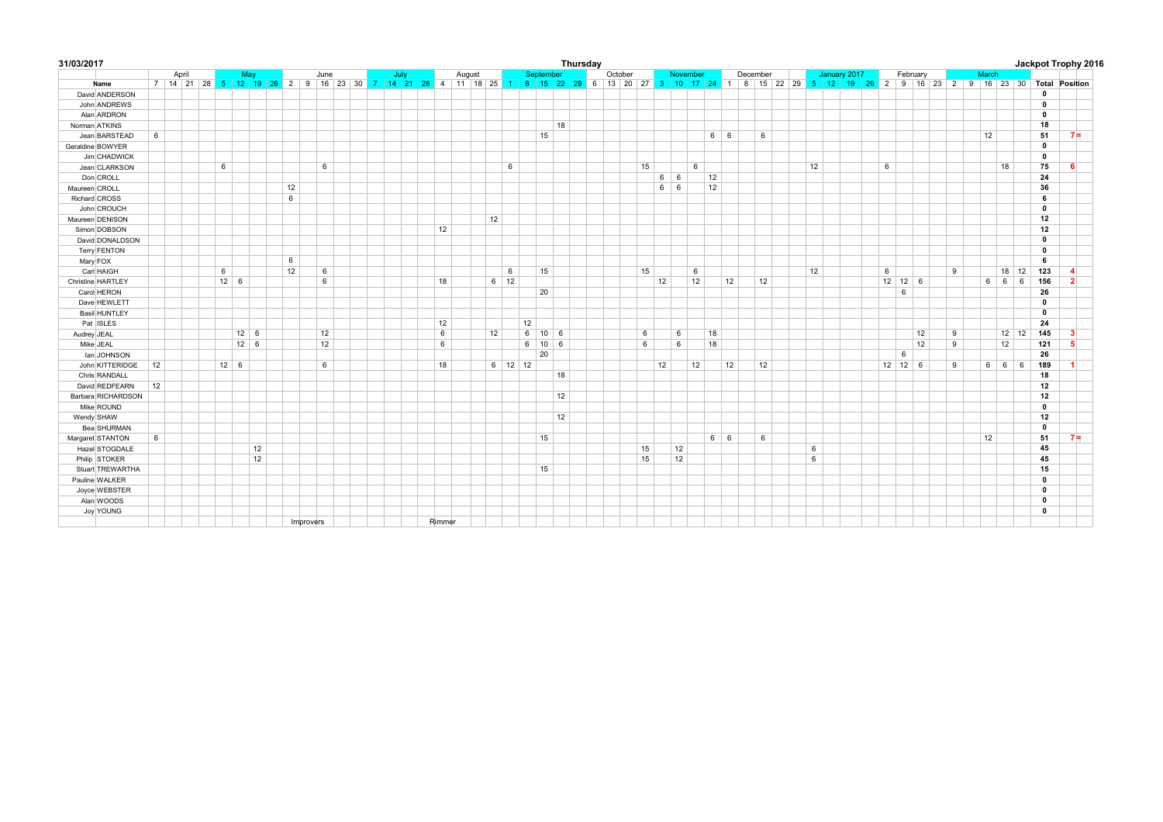| 31/03/2017          |    |       |   |              |    |    |                  |                 |                                                                                                                                                           |      |        |        |             |           |            |    | Thursday |         |    |    |          |    |            |    |          |    |  |    |              |   |   |           |   |       |                     |              | Jackpot Trophy 2016    |  |
|---------------------|----|-------|---|--------------|----|----|------------------|-----------------|-----------------------------------------------------------------------------------------------------------------------------------------------------------|------|--------|--------|-------------|-----------|------------|----|----------|---------|----|----|----------|----|------------|----|----------|----|--|----|--------------|---|---|-----------|---|-------|---------------------|--------------|------------------------|--|
|                     |    | April |   | May          |    |    |                  | June            |                                                                                                                                                           | July |        | August |             |           | September  |    |          | October |    |    | November |    |            |    | December |    |  |    | January 2017 |   |   | February  |   | March |                     |              |                        |  |
| Name                |    |       |   |              |    |    |                  |                 | 7 14 21 28 5 12 19 26 2 9 16 23 30 7 14 21 28 4 11 18 25 1 8 15 22 29 6 13 20 27 3 10 17 24 1 8 15 22 29 5 12 19 26 2 9 16 23 2 9 16 23 30 Total Position |      |        |        |             |           |            |    |          |         |    |    |          |    |            |    |          |    |  |    |              |   |   |           |   |       |                     |              |                        |  |
| David ANDERSON      |    |       |   |              |    |    |                  |                 |                                                                                                                                                           |      |        |        |             |           |            |    |          |         |    |    |          |    |            |    |          |    |  |    |              |   |   |           |   |       |                     | $\mathbf 0$  |                        |  |
| John ANDREWS        |    |       |   |              |    |    |                  |                 |                                                                                                                                                           |      |        |        |             |           |            |    |          |         |    |    |          |    |            |    |          |    |  |    |              |   |   |           |   |       |                     | $\mathbf 0$  |                        |  |
| Alan ARDRON         |    |       |   |              |    |    |                  |                 |                                                                                                                                                           |      |        |        |             |           |            |    |          |         |    |    |          |    |            |    |          |    |  |    |              |   |   |           |   |       |                     | $\mathbf 0$  |                        |  |
| Norman ATKINS       |    |       |   |              |    |    |                  |                 |                                                                                                                                                           |      |        |        |             |           |            | 18 |          |         |    |    |          |    |            |    |          |    |  |    |              |   |   |           |   |       |                     | 18           |                        |  |
| Jean BARSTEAD       | 6  |       |   |              |    |    |                  |                 |                                                                                                                                                           |      |        |        |             |           | 15         |    |          |         |    |    |          |    | $6 \mid 6$ |    |          | 6  |  |    |              |   |   |           |   | 12    |                     | 51           | $7 =$                  |  |
| Geraldine BOWYER    |    |       |   |              |    |    |                  |                 |                                                                                                                                                           |      |        |        |             |           |            |    |          |         |    |    |          |    |            |    |          |    |  |    |              |   |   |           |   |       |                     | $\mathbf 0$  |                        |  |
| Jim CHADWICK        |    |       |   |              |    |    |                  |                 |                                                                                                                                                           |      |        |        |             |           |            |    |          |         |    |    |          |    |            |    |          |    |  |    |              |   |   |           |   |       |                     | $\mathbf 0$  |                        |  |
| Jean CLARKSON       |    |       | 6 |              |    |    |                  | 6               |                                                                                                                                                           |      |        |        | 6           |           |            |    |          |         | 15 |    |          | 6  |            |    |          |    |  | 12 |              | 6 |   |           |   |       | 18                  | 75           | 6                      |  |
| Don CROLL           |    |       |   |              |    |    |                  |                 |                                                                                                                                                           |      |        |        |             |           |            |    |          |         |    | 6  | 6        |    | 12         |    |          |    |  |    |              |   |   |           |   |       |                     | 24           |                        |  |
| Maureen CROLL       |    |       |   |              |    | 12 |                  |                 |                                                                                                                                                           |      |        |        |             |           |            |    |          |         |    | 6  | 6        |    | 12         |    |          |    |  |    |              |   |   |           |   |       |                     | 36           |                        |  |
| Richard CROSS       |    |       |   |              |    | 6  |                  |                 |                                                                                                                                                           |      |        |        |             |           |            |    |          |         |    |    |          |    |            |    |          |    |  |    |              |   |   |           |   |       |                     | 6            |                        |  |
| John CROUCH         |    |       |   |              |    |    |                  |                 |                                                                                                                                                           |      |        |        |             |           |            |    |          |         |    |    |          |    |            |    |          |    |  |    |              |   |   |           |   |       |                     | $\mathbf 0$  |                        |  |
| Maureen DENISON     |    |       |   |              |    |    |                  |                 |                                                                                                                                                           |      |        |        | 12          |           |            |    |          |         |    |    |          |    |            |    |          |    |  |    |              |   |   |           |   |       |                     | 12           |                        |  |
| Simon DOBSON        |    |       |   |              |    |    |                  |                 |                                                                                                                                                           |      | 12     |        |             |           |            |    |          |         |    |    |          |    |            |    |          |    |  |    |              |   |   |           |   |       |                     | 12           |                        |  |
| David DONALDSON     |    |       |   |              |    |    |                  |                 |                                                                                                                                                           |      |        |        |             |           |            |    |          |         |    |    |          |    |            |    |          |    |  |    |              |   |   |           |   |       |                     | $\mathbf 0$  |                        |  |
| <b>Terry FENTON</b> |    |       |   |              |    |    |                  |                 |                                                                                                                                                           |      |        |        |             |           |            |    |          |         |    |    |          |    |            |    |          |    |  |    |              |   |   |           |   |       |                     | $\mathbf 0$  |                        |  |
| Mary FOX            |    |       |   |              |    | 6  |                  |                 |                                                                                                                                                           |      |        |        |             |           |            |    |          |         |    |    |          |    |            |    |          |    |  |    |              |   |   |           |   |       |                     | 6            |                        |  |
| Carl HAIGH          |    |       | 6 |              |    | 12 |                  | 6               |                                                                                                                                                           |      |        |        | 6           |           | 15         |    |          |         | 15 |    |          | 6  |            |    |          |    |  | 12 |              | 6 |   |           | 9 |       | 18 12               | 123          | $\boldsymbol{\Lambda}$ |  |
| Christine HARTLEY   |    |       |   | $12 \quad 6$ |    |    |                  | $6\phantom{1}6$ |                                                                                                                                                           |      | 18     |        | $6 \mid 12$ |           |            |    |          |         |    | 12 |          | 12 |            | 12 |          | 12 |  |    |              |   |   | $12$ 12 6 |   |       | 6666                | 156          | $\overline{2}$         |  |
| Carol HERON         |    |       |   |              |    |    |                  |                 |                                                                                                                                                           |      |        |        |             |           | 20         |    |          |         |    |    |          |    |            |    |          |    |  |    |              |   | 6 |           |   |       |                     | 26           |                        |  |
| Dave HEWLETT        |    |       |   |              |    |    |                  |                 |                                                                                                                                                           |      |        |        |             |           |            |    |          |         |    |    |          |    |            |    |          |    |  |    |              |   |   |           |   |       |                     | $\mathbf 0$  |                        |  |
| Basil HUNTLEY       |    |       |   |              |    |    |                  |                 |                                                                                                                                                           |      |        |        |             |           |            |    |          |         |    |    |          |    |            |    |          |    |  |    |              |   |   |           |   |       |                     | $\mathbf 0$  |                        |  |
| Pat ISLES           |    |       |   |              |    |    |                  |                 |                                                                                                                                                           |      | 12     |        |             | 12        |            |    |          |         |    |    |          |    |            |    |          |    |  |    |              |   |   |           |   |       |                     | 24           |                        |  |
| Audrey JEAL         |    |       |   | $12 \mid 6$  |    |    |                  | 12              |                                                                                                                                                           |      | 6      |        | 12          | 6         | $10 \ 6$   |    |          |         | 6  |    | 6        |    | 18         |    |          |    |  |    |              |   |   | 12        | 9 |       | $12 \quad 12$       | 145          | $\mathbf{3}$           |  |
| Mike JEAL           |    |       |   | $12 \mid 6$  |    |    |                  | 12              |                                                                                                                                                           |      | 6      |        |             |           | 6   10   6 |    |          |         | 6  |    | 6        |    | 18         |    |          |    |  |    |              |   |   | 12        | 9 |       | 12                  | 121          | -5                     |  |
| lan JOHNSON         |    |       |   |              |    |    |                  |                 |                                                                                                                                                           |      |        |        |             |           | 20         |    |          |         |    |    |          |    |            |    |          |    |  |    |              |   | 6 |           |   |       |                     | 26           |                        |  |
| John KITTERIDGE     | 12 |       |   | $12 \quad 6$ |    |    |                  | 6               |                                                                                                                                                           |      | 18     |        |             | $6$ 12 12 |            |    |          |         |    | 12 |          | 12 |            | 12 |          | 12 |  |    |              |   |   | $12$ 12 6 | 9 |       | $6 \quad 6 \quad 6$ | 189          |                        |  |
| Chris RANDALL       |    |       |   |              |    |    |                  |                 |                                                                                                                                                           |      |        |        |             |           |            | 18 |          |         |    |    |          |    |            |    |          |    |  |    |              |   |   |           |   |       |                     | 18           |                        |  |
| David REDFEARN      | 12 |       |   |              |    |    |                  |                 |                                                                                                                                                           |      |        |        |             |           |            |    |          |         |    |    |          |    |            |    |          |    |  |    |              |   |   |           |   |       |                     | 12           |                        |  |
| Barbara RICHARDSON  |    |       |   |              |    |    |                  |                 |                                                                                                                                                           |      |        |        |             |           |            | 12 |          |         |    |    |          |    |            |    |          |    |  |    |              |   |   |           |   |       |                     | 12           |                        |  |
| Mike ROUND          |    |       |   |              |    |    |                  |                 |                                                                                                                                                           |      |        |        |             |           |            |    |          |         |    |    |          |    |            |    |          |    |  |    |              |   |   |           |   |       |                     | $\mathbf 0$  |                        |  |
| Wendy SHAW          |    |       |   |              |    |    |                  |                 |                                                                                                                                                           |      |        |        |             |           |            | 12 |          |         |    |    |          |    |            |    |          |    |  |    |              |   |   |           |   |       |                     | 12           |                        |  |
| Bea SHURMAN         |    |       |   |              |    |    |                  |                 |                                                                                                                                                           |      |        |        |             |           |            |    |          |         |    |    |          |    |            |    |          |    |  |    |              |   |   |           |   |       |                     | $\mathbf 0$  |                        |  |
| Margaret STANTON    | 6  |       |   |              |    |    |                  |                 |                                                                                                                                                           |      |        |        |             |           | 15         |    |          |         |    |    |          |    | 6 6        |    |          | 6  |  |    |              |   |   |           |   | 12    |                     | 51           | $7 =$                  |  |
| Hazel STOGDALE      |    |       |   |              | 12 |    |                  |                 |                                                                                                                                                           |      |        |        |             |           |            |    |          |         | 15 |    | 12       |    |            |    |          |    |  | 6  |              |   |   |           |   |       |                     | 45           |                        |  |
| Philip STOKER       |    |       |   |              | 12 |    |                  |                 |                                                                                                                                                           |      |        |        |             |           |            |    |          |         | 15 |    | 12       |    |            |    |          |    |  | 6  |              |   |   |           |   |       |                     | 45           |                        |  |
| Stuart TREWARTHA    |    |       |   |              |    |    |                  |                 |                                                                                                                                                           |      |        |        |             |           | 15         |    |          |         |    |    |          |    |            |    |          |    |  |    |              |   |   |           |   |       |                     | 15           |                        |  |
| Pauline WALKER      |    |       |   |              |    |    |                  |                 |                                                                                                                                                           |      |        |        |             |           |            |    |          |         |    |    |          |    |            |    |          |    |  |    |              |   |   |           |   |       |                     | $\mathbf 0$  |                        |  |
| Joyce WEBSTER       |    |       |   |              |    |    |                  |                 |                                                                                                                                                           |      |        |        |             |           |            |    |          |         |    |    |          |    |            |    |          |    |  |    |              |   |   |           |   |       |                     | $\mathbf 0$  |                        |  |
| Alan WOODS          |    |       |   |              |    |    |                  |                 |                                                                                                                                                           |      |        |        |             |           |            |    |          |         |    |    |          |    |            |    |          |    |  |    |              |   |   |           |   |       |                     | $\mathbf{0}$ |                        |  |
| Joy YOUNG           |    |       |   |              |    |    |                  |                 |                                                                                                                                                           |      |        |        |             |           |            |    |          |         |    |    |          |    |            |    |          |    |  |    |              |   |   |           |   |       |                     | $\mathbf{0}$ |                        |  |
|                     |    |       |   |              |    |    | <b>Improvers</b> |                 |                                                                                                                                                           |      | Rimmer |        |             |           |            |    |          |         |    |    |          |    |            |    |          |    |  |    |              |   |   |           |   |       |                     |              |                        |  |